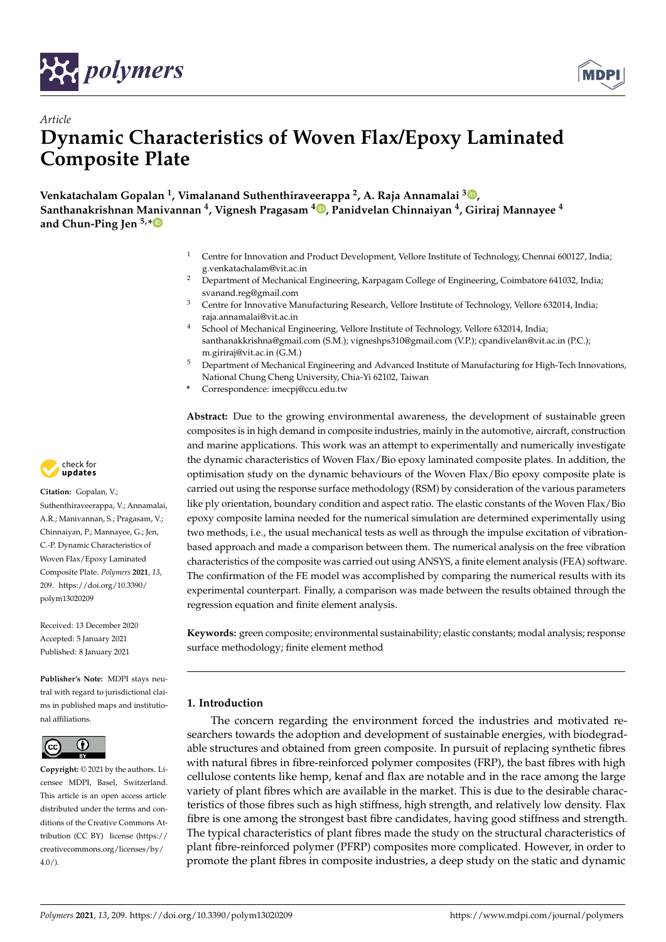



# *Article* **Dynamic Characteristics of Woven Flax/Epoxy Laminated Composite Plate**

**Venkatachalam Gopalan <sup>1</sup> , Vimalanand Suthenthiraveerappa <sup>2</sup> , A. Raja Annamalai <sup>3</sup> , Santhanakrishnan Manivannan <sup>4</sup> , Vignesh Pragasam <sup>4</sup> , Panidvelan Chinnaiyan <sup>4</sup> , Giriraj Mannayee <sup>4</sup> and Chun-Ping Jen 5,\***

- <sup>1</sup> Centre for Innovation and Product Development, Vellore Institute of Technology, Chennai 600127, India; g.venkatachalam@vit.ac.in
- <sup>2</sup> Department of Mechanical Engineering, Karpagam College of Engineering, Coimbatore 641032, India; svanand.reg@gmail.com
- <sup>3</sup> Centre for Innovative Manufacturing Research, Vellore Institute of Technology, Vellore 632014, India; raja.annamalai@vit.ac.in
- <sup>4</sup> School of Mechanical Engineering, Vellore Institute of Technology, Vellore 632014, India; santhanakkrishna@gmail.com (S.M.); vigneshps310@gmail.com (V.P.); cpandivelan@vit.ac.in (P.C.); m.giriraj@vit.ac.in (G.M.)
- <sup>5</sup> Department of Mechanical Engineering and Advanced Institute of Manufacturing for High-Tech Innovations, National Chung Cheng University, Chia-Yi 62102, Taiwan
- **\*** Correspondence: imecpj@ccu.edu.tw

**Abstract:** Due to the growing environmental awareness, the development of sustainable green composites is in high demand in composite industries, mainly in the automotive, aircraft, construction and marine applications. This work was an attempt to experimentally and numerically investigate the dynamic characteristics of Woven Flax/Bio epoxy laminated composite plates. In addition, the optimisation study on the dynamic behaviours of the Woven Flax/Bio epoxy composite plate is carried out using the response surface methodology (RSM) by consideration of the various parameters like ply orientation, boundary condition and aspect ratio. The elastic constants of the Woven Flax/Bio epoxy composite lamina needed for the numerical simulation are determined experimentally using two methods, i.e., the usual mechanical tests as well as through the impulse excitation of vibrationbased approach and made a comparison between them. The numerical analysis on the free vibration characteristics of the composite was carried out using ANSYS, a finite element analysis (FEA) software. The confirmation of the FE model was accomplished by comparing the numerical results with its experimental counterpart. Finally, a comparison was made between the results obtained through the regression equation and finite element analysis.

**Keywords:** green composite; environmental sustainability; elastic constants; modal analysis; response surface methodology; finite element method

## **1. Introduction**

The concern regarding the environment forced the industries and motivated researchers towards the adoption and development of sustainable energies, with biodegradable structures and obtained from green composite. In pursuit of replacing synthetic fibres with natural fibres in fibre-reinforced polymer composites (FRP), the bast fibres with high cellulose contents like hemp, kenaf and flax are notable and in the race among the large variety of plant fibres which are available in the market. This is due to the desirable characteristics of those fibres such as high stiffness, high strength, and relatively low density. Flax fibre is one among the strongest bast fibre candidates, having good stiffness and strength. The typical characteristics of plant fibres made the study on the structural characteristics of plant fibre-reinforced polymer (PFRP) composites more complicated. However, in order to promote the plant fibres in composite industries, a deep study on the static and dynamic



**Citation:** Gopalan, V.; Suthenthiraveerappa, V.; Annamalai, A.R.; Manivannan, S.; Pragasam, V.; Chinnaiyan, P.; Mannayee, G.; Jen, C.-P. Dynamic Characteristics of Woven Flax/Epoxy Laminated Composite Plate. *Polymers* **2021**, *13*, 209. https://doi.org/10.3390/ polym13020209

Received: 13 December 2020 Accepted: 5 January 2021 Published: 8 January 2021

**Publisher's Note:** MDPI stays neutral with regard to jurisdictional claims in published maps and institutional affiliations.



**Copyright:** © 2021 by the authors. Licensee MDPI, Basel, Switzerland. This article is an open access article distributed under the terms and conditions of the Creative Commons Attribution (CC BY) license (https:// creativecommons.org/licenses/by/ 4.0/).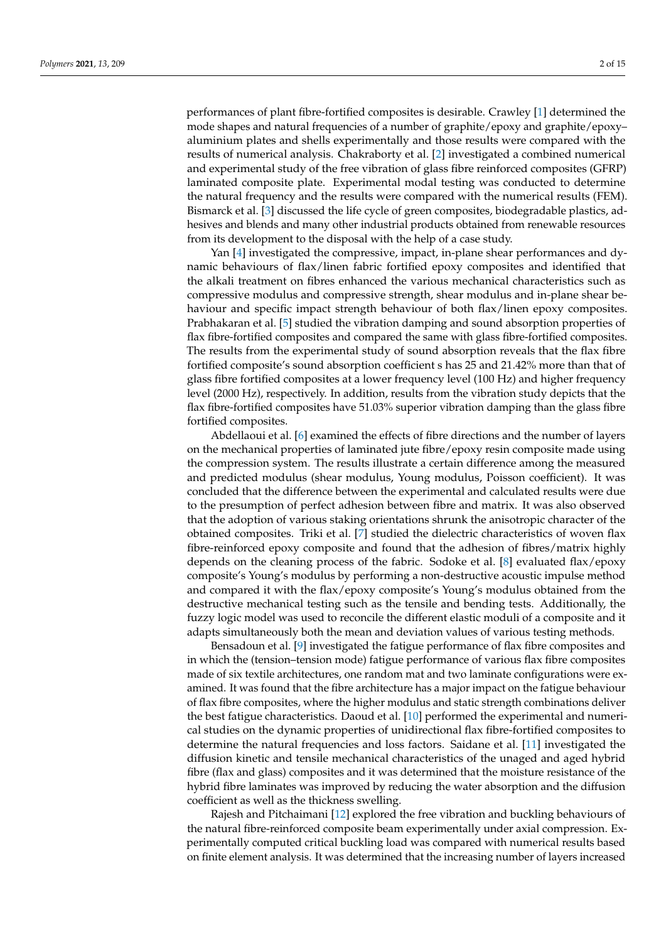performances of plant fibre-fortified composites is desirable. Crawley [1] determined the mode shapes and natural frequencies of a number of graphite/epoxy and graphite/epoxy– aluminium plates and shells experimentally and those results were compared with the results of numerical analysis. Chakraborty et al. [2] investigated a combined numerical and experimental study of the free vibration of glass fibre reinforced composites (GFRP) laminated composite plate. Experimental modal testing was conducted to determine the natural frequency and the results were compared with the numerical results (FEM). Bismarck et al. [3] discussed the life cycle of green composites, biodegradable plastics, adhesives and blends and many other industrial products obtained from renewable resources from its development to the disposal with the help of a case study.

Yan [4] investigated the compressive, impact, in-plane shear performances and dynamic behaviours of flax/linen fabric fortified epoxy composites and identified that the alkali treatment on fibres enhanced the various mechanical characteristics such as compressive modulus and compressive strength, shear modulus and in-plane shear behaviour and specific impact strength behaviour of both flax/linen epoxy composites. Prabhakaran et al. [5] studied the vibration damping and sound absorption properties of flax fibre-fortified composites and compared the same with glass fibre-fortified composites. The results from the experimental study of sound absorption reveals that the flax fibre fortified composite's sound absorption coefficient s has 25 and 21.42% more than that of glass fibre fortified composites at a lower frequency level (100 Hz) and higher frequency level (2000 Hz), respectively. In addition, results from the vibration study depicts that the flax fibre-fortified composites have 51.03% superior vibration damping than the glass fibre fortified composites.

Abdellaoui et al. [6] examined the effects of fibre directions and the number of layers on the mechanical properties of laminated jute fibre/epoxy resin composite made using the compression system. The results illustrate a certain difference among the measured and predicted modulus (shear modulus, Young modulus, Poisson coefficient). It was concluded that the difference between the experimental and calculated results were due to the presumption of perfect adhesion between fibre and matrix. It was also observed that the adoption of various staking orientations shrunk the anisotropic character of the obtained composites. Triki et al. [7] studied the dielectric characteristics of woven flax fibre-reinforced epoxy composite and found that the adhesion of fibres/matrix highly depends on the cleaning process of the fabric. Sodoke et al. [8] evaluated flax/epoxy composite's Young's modulus by performing a non-destructive acoustic impulse method and compared it with the flax/epoxy composite's Young's modulus obtained from the destructive mechanical testing such as the tensile and bending tests. Additionally, the fuzzy logic model was used to reconcile the different elastic moduli of a composite and it adapts simultaneously both the mean and deviation values of various testing methods.

Bensadoun et al. [9] investigated the fatigue performance of flax fibre composites and in which the (tension–tension mode) fatigue performance of various flax fibre composites made of six textile architectures, one random mat and two laminate configurations were examined. It was found that the fibre architecture has a major impact on the fatigue behaviour of flax fibre composites, where the higher modulus and static strength combinations deliver the best fatigue characteristics. Daoud et al. [10] performed the experimental and numerical studies on the dynamic properties of unidirectional flax fibre-fortified composites to determine the natural frequencies and loss factors. Saidane et al. [11] investigated the diffusion kinetic and tensile mechanical characteristics of the unaged and aged hybrid fibre (flax and glass) composites and it was determined that the moisture resistance of the hybrid fibre laminates was improved by reducing the water absorption and the diffusion coefficient as well as the thickness swelling.

Rajesh and Pitchaimani [12] explored the free vibration and buckling behaviours of the natural fibre-reinforced composite beam experimentally under axial compression. Experimentally computed critical buckling load was compared with numerical results based on finite element analysis. It was determined that the increasing number of layers increased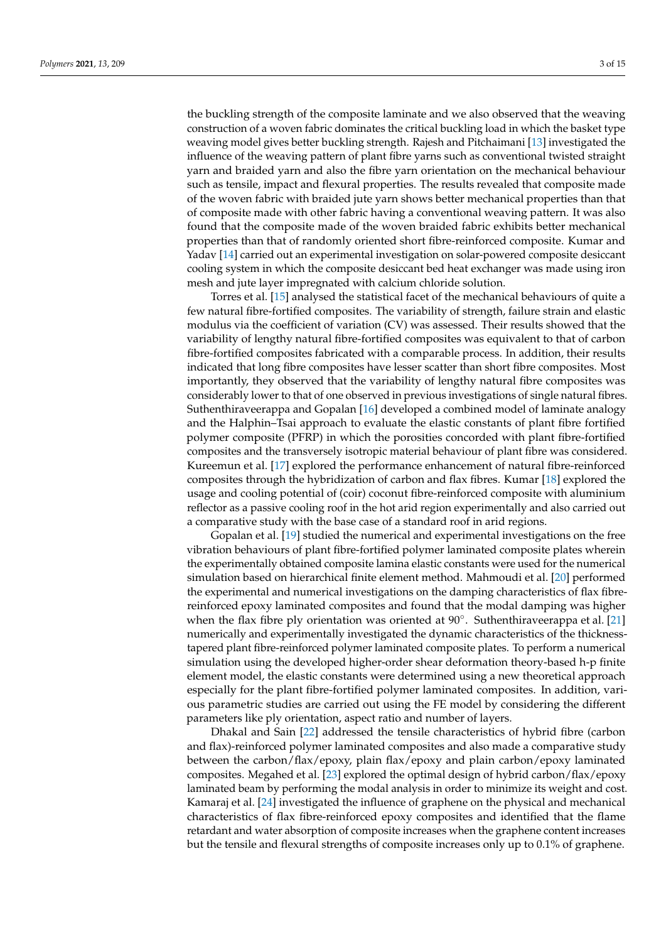the buckling strength of the composite laminate and we also observed that the weaving construction of a woven fabric dominates the critical buckling load in which the basket type weaving model gives better buckling strength. Rajesh and Pitchaimani [13] investigated the influence of the weaving pattern of plant fibre yarns such as conventional twisted straight yarn and braided yarn and also the fibre yarn orientation on the mechanical behaviour such as tensile, impact and flexural properties. The results revealed that composite made of the woven fabric with braided jute yarn shows better mechanical properties than that of composite made with other fabric having a conventional weaving pattern. It was also found that the composite made of the woven braided fabric exhibits better mechanical properties than that of randomly oriented short fibre-reinforced composite. Kumar and Yadav [14] carried out an experimental investigation on solar-powered composite desiccant cooling system in which the composite desiccant bed heat exchanger was made using iron mesh and jute layer impregnated with calcium chloride solution.

Torres et al. [15] analysed the statistical facet of the mechanical behaviours of quite a few natural fibre-fortified composites. The variability of strength, failure strain and elastic modulus via the coefficient of variation (CV) was assessed. Their results showed that the variability of lengthy natural fibre-fortified composites was equivalent to that of carbon fibre-fortified composites fabricated with a comparable process. In addition, their results indicated that long fibre composites have lesser scatter than short fibre composites. Most importantly, they observed that the variability of lengthy natural fibre composites was considerably lower to that of one observed in previous investigations of single natural fibres. Suthenthiraveerappa and Gopalan [16] developed a combined model of laminate analogy and the Halphin–Tsai approach to evaluate the elastic constants of plant fibre fortified polymer composite (PFRP) in which the porosities concorded with plant fibre-fortified composites and the transversely isotropic material behaviour of plant fibre was considered. Kureemun et al. [17] explored the performance enhancement of natural fibre-reinforced composites through the hybridization of carbon and flax fibres. Kumar [18] explored the usage and cooling potential of (coir) coconut fibre-reinforced composite with aluminium reflector as a passive cooling roof in the hot arid region experimentally and also carried out a comparative study with the base case of a standard roof in arid regions.

Gopalan et al. [19] studied the numerical and experimental investigations on the free vibration behaviours of plant fibre-fortified polymer laminated composite plates wherein the experimentally obtained composite lamina elastic constants were used for the numerical simulation based on hierarchical finite element method. Mahmoudi et al. [20] performed the experimental and numerical investigations on the damping characteristics of flax fibrereinforced epoxy laminated composites and found that the modal damping was higher when the flax fibre ply orientation was oriented at 90°. Suthenthiraveerappa et al. [21] numerically and experimentally investigated the dynamic characteristics of the thicknesstapered plant fibre-reinforced polymer laminated composite plates. To perform a numerical simulation using the developed higher-order shear deformation theory-based h-p finite element model, the elastic constants were determined using a new theoretical approach especially for the plant fibre-fortified polymer laminated composites. In addition, various parametric studies are carried out using the FE model by considering the different parameters like ply orientation, aspect ratio and number of layers.

Dhakal and Sain [22] addressed the tensile characteristics of hybrid fibre (carbon and flax)-reinforced polymer laminated composites and also made a comparative study between the carbon/flax/epoxy, plain flax/epoxy and plain carbon/epoxy laminated composites. Megahed et al. [23] explored the optimal design of hybrid carbon/flax/epoxy laminated beam by performing the modal analysis in order to minimize its weight and cost. Kamaraj et al. [24] investigated the influence of graphene on the physical and mechanical characteristics of flax fibre-reinforced epoxy composites and identified that the flame retardant and water absorption of composite increases when the graphene content increases but the tensile and flexural strengths of composite increases only up to 0.1% of graphene.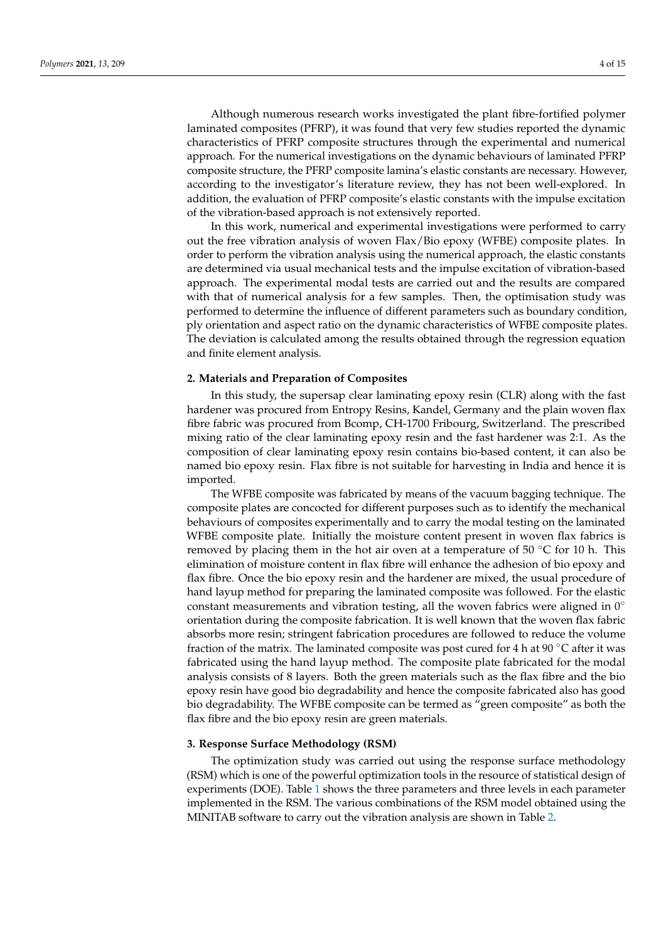Although numerous research works investigated the plant fibre-fortified polymer laminated composites (PFRP), it was found that very few studies reported the dynamic characteristics of PFRP composite structures through the experimental and numerical approach. For the numerical investigations on the dynamic behaviours of laminated PFRP composite structure, the PFRP composite lamina's elastic constants are necessary. However, according to the investigator's literature review, they has not been well-explored. In addition, the evaluation of PFRP composite's elastic constants with the impulse excitation of the vibration-based approach is not extensively reported.

In this work, numerical and experimental investigations were performed to carry out the free vibration analysis of woven Flax/Bio epoxy (WFBE) composite plates. In order to perform the vibration analysis using the numerical approach, the elastic constants are determined via usual mechanical tests and the impulse excitation of vibration-based approach. The experimental modal tests are carried out and the results are compared with that of numerical analysis for a few samples. Then, the optimisation study was performed to determine the influence of different parameters such as boundary condition, ply orientation and aspect ratio on the dynamic characteristics of WFBE composite plates. The deviation is calculated among the results obtained through the regression equation and finite element analysis.

#### **2. Materials and Preparation of Composites**

In this study, the supersap clear laminating epoxy resin (CLR) along with the fast hardener was procured from Entropy Resins, Kandel, Germany and the plain woven flax fibre fabric was procured from Bcomp, CH-1700 Fribourg, Switzerland. The prescribed mixing ratio of the clear laminating epoxy resin and the fast hardener was 2:1. As the composition of clear laminating epoxy resin contains bio-based content, it can also be named bio epoxy resin. Flax fibre is not suitable for harvesting in India and hence it is imported.

The WFBE composite was fabricated by means of the vacuum bagging technique. The composite plates are concocted for different purposes such as to identify the mechanical behaviours of composites experimentally and to carry the modal testing on the laminated WFBE composite plate. Initially the moisture content present in woven flax fabrics is removed by placing them in the hot air oven at a temperature of 50  $\degree$ C for 10 h. This elimination of moisture content in flax fibre will enhance the adhesion of bio epoxy and flax fibre. Once the bio epoxy resin and the hardener are mixed, the usual procedure of hand layup method for preparing the laminated composite was followed. For the elastic constant measurements and vibration testing, all the woven fabrics were aligned in  $0°$ orientation during the composite fabrication. It is well known that the woven flax fabric absorbs more resin; stringent fabrication procedures are followed to reduce the volume fraction of the matrix. The laminated composite was post cured for 4 h at 90  $^{\circ}$ C after it was fabricated using the hand layup method. The composite plate fabricated for the modal analysis consists of 8 layers. Both the green materials such as the flax fibre and the bio epoxy resin have good bio degradability and hence the composite fabricated also has good bio degradability. The WFBE composite can be termed as "green composite" as both the flax fibre and the bio epoxy resin are green materials.

#### **3. Response Surface Methodology (RSM)**

The optimization study was carried out using the response surface methodology (RSM) which is one of the powerful optimization tools in the resource of statistical design of experiments (DOE). Table 1 shows the three parameters and three levels in each parameter implemented in the RSM. The various combinations of the RSM model obtained using the MINITAB software to carry out the vibration analysis are shown in Table 2.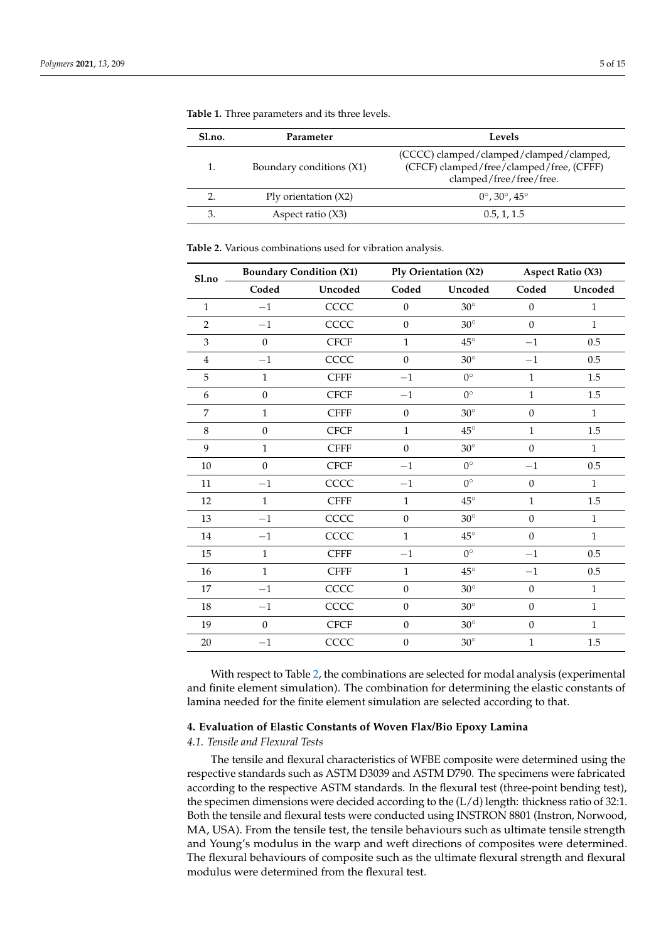| Sl.no. | Parameter                | Levels                                                                                                         |
|--------|--------------------------|----------------------------------------------------------------------------------------------------------------|
|        | Boundary conditions (X1) | (CCCC) clamped/clamped/clamped/clamped,<br>(CFCF) clamped/free/clamped/free, (CFFF)<br>clamped/free/free/free. |
|        | Ply orientation $(X2)$   | $0^{\circ}$ , 30 $^{\circ}$ , 45 $^{\circ}$                                                                    |
|        | Aspect ratio $(X3)$      | 0.5, 1, 1.5                                                                                                    |

**Table 1.** Three parameters and its three levels.

**Table 2.** Various combinations used for vibration analysis.

| Sl.no          |                  | <b>Boundary Condition (X1)</b> |                  | Ply Orientation (X2) |                  | <b>Aspect Ratio (X3)</b> |  |  |
|----------------|------------------|--------------------------------|------------------|----------------------|------------------|--------------------------|--|--|
|                | Coded            | Uncoded                        | Coded            | Uncoded              | Coded            | Uncoded                  |  |  |
| $\mathbf{1}$   | $-1$             | CCCC                           | $\boldsymbol{0}$ | $30^\circ$           | $\boldsymbol{0}$ | $\mathbf{1}$             |  |  |
| $\overline{2}$ | $-1$             | CCCC                           | $\mathbf{0}$     | $30^\circ$           | $\mathbf{0}$     | $\mathbf{1}$             |  |  |
| 3              | $\boldsymbol{0}$ | <b>CFCF</b>                    | 1                | $45^{\circ}$         | $-1$             | 0.5                      |  |  |
| $\overline{4}$ | $-1$             | CCCC                           | $\mathbf{0}$     | $30^\circ$           | $-1$             | 0.5                      |  |  |
| 5              | $\mathbf{1}$     | <b>CFFF</b>                    | $-1$             | $0^{\circ}$          | $\mathbf{1}$     | 1.5                      |  |  |
| 6              | $\boldsymbol{0}$ | <b>CFCF</b>                    | $-1$             | $0^{\circ}$          | $1\,$            | 1.5                      |  |  |
| 7              | $\mathbf{1}$     | <b>CFFF</b>                    | $\boldsymbol{0}$ | $30^\circ$           | $\boldsymbol{0}$ | $\mathbf{1}$             |  |  |
| 8              | $\theta$         | <b>CFCF</b>                    | $\mathbf{1}$     | $45^\circ$           | $1\,$            | 1.5                      |  |  |
| $\mathbf{9}$   | $\mathbf{1}$     | <b>CFFF</b>                    | $\boldsymbol{0}$ | $30^\circ$           | $\boldsymbol{0}$ | $\mathbf{1}$             |  |  |
| 10             | $\boldsymbol{0}$ | <b>CFCF</b>                    | $-1$             | $0^{\circ}$          | $-1$             | 0.5                      |  |  |
| 11             | $-1$             | CCCC                           | $-1$             | $0^{\circ}$          | $\boldsymbol{0}$ | $\mathbf{1}$             |  |  |
| 12             | $\mathbf{1}$     | <b>CFFF</b>                    | $\mathbf{1}$     | $45^\circ$           | $\,1\,$          | 1.5                      |  |  |
| 13             | $-1\,$           | CCCC                           | $\boldsymbol{0}$ | $30^\circ$           | $\boldsymbol{0}$ | $\mathbf{1}$             |  |  |
| $14\,$         | $-1$             | CCCC                           | $\mathbf{1}$     | $45^{\circ}$         | $\boldsymbol{0}$ | $\mathbf{1}$             |  |  |
| 15             | $\mathbf{1}$     | <b>CFFF</b>                    | $-1$             | $0^{\circ}$          | $-1$             | 0.5                      |  |  |
| 16             | $\mathbf{1}$     | <b>CFFF</b>                    | $\mathbf{1}$     | $45^{\circ}$         | $-1\,$           | 0.5                      |  |  |
| 17             | $-1$             | CCCC                           | $\mathbf{0}$     | $30^\circ$           | $\boldsymbol{0}$ | $\mathbf{1}$             |  |  |
| 18             | $-1$             | CCCC                           | $\mathbf{0}$     | $30^\circ$           | $\boldsymbol{0}$ | $\mathbf{1}$             |  |  |
| 19             | $\boldsymbol{0}$ | <b>CFCF</b>                    | $\boldsymbol{0}$ | $30^\circ$           | $\boldsymbol{0}$ | $\mathbf{1}$             |  |  |
| 20             | $-1$             | CCCC                           | $\mathbf{0}$     | $30^\circ$           | $\mathbf{1}$     | 1.5                      |  |  |

With respect to Table 2, the combinations are selected for modal analysis (experimental and finite element simulation). The combination for determining the elastic constants of lamina needed for the finite element simulation are selected according to that.

#### **4. Evaluation of Elastic Constants of Woven Flax/Bio Epoxy Lamina**

### *4.1. Tensile and Flexural Tests*

The tensile and flexural characteristics of WFBE composite were determined using the respective standards such as ASTM D3039 and ASTM D790. The specimens were fabricated according to the respective ASTM standards. In the flexural test (three-point bending test), the specimen dimensions were decided according to the (L/d) length: thickness ratio of 32:1. Both the tensile and flexural tests were conducted using INSTRON 8801 (Instron, Norwood, MA, USA). From the tensile test, the tensile behaviours such as ultimate tensile strength and Young's modulus in the warp and weft directions of composites were determined. The flexural behaviours of composite such as the ultimate flexural strength and flexural modulus were determined from the flexural test.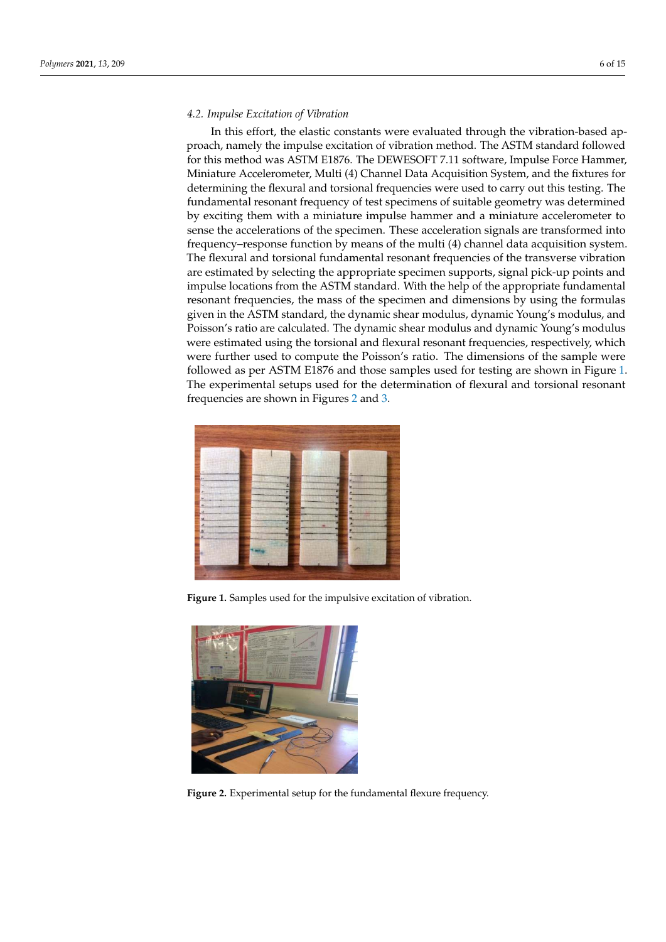### *4.2. Impulse Excitation of Vibration*

In this effort, the elastic constants were evaluated through the vibration-based approach, namely the impulse excitation of vibration method. The ASTM standard followed for this method was ASTM E1876. The DEWESOFT 7.11 software, Impulse Force Hammer, Miniature Accelerometer, Multi (4) Channel Data Acquisition System, and the fixtures for determining the flexural and torsional frequencies were used to carry out this testing. The fundamental resonant frequency of test specimens of suitable geometry was determined by exciting them with a miniature impulse hammer and a miniature accelerometer to sense the accelerations of the specimen. These acceleration signals are transformed into frequency–response function by means of the multi (4) channel data acquisition system. The flexural and torsional fundamental resonant frequencies of the transverse vibration are estimated by selecting the appropriate specimen supports, signal pick-up points and impulse locations from the ASTM standard. With the help of the appropriate fundamental resonant frequencies, the mass of the specimen and dimensions by using the formulas given in the ASTM standard, the dynamic shear modulus, dynamic Young's modulus, and Poisson's ratio are calculated. The dynamic shear modulus and dynamic Young's modulus were estimated using the torsional and flexural resonant frequencies, respectively, which were further used to compute the Poisson's ratio. The dimensions of the sample were followed as per ASTM E1876 and those samples used for testing are shown in Figure 1. The experimental setups used for the determination of flexural and torsional resonant frequencies are shown in Figures 2 and 3.



**Figure 1.** Samples used for the impulsive excitation of vibration.



**Figure 2.** Experimental setup for the fundamental flexure frequency.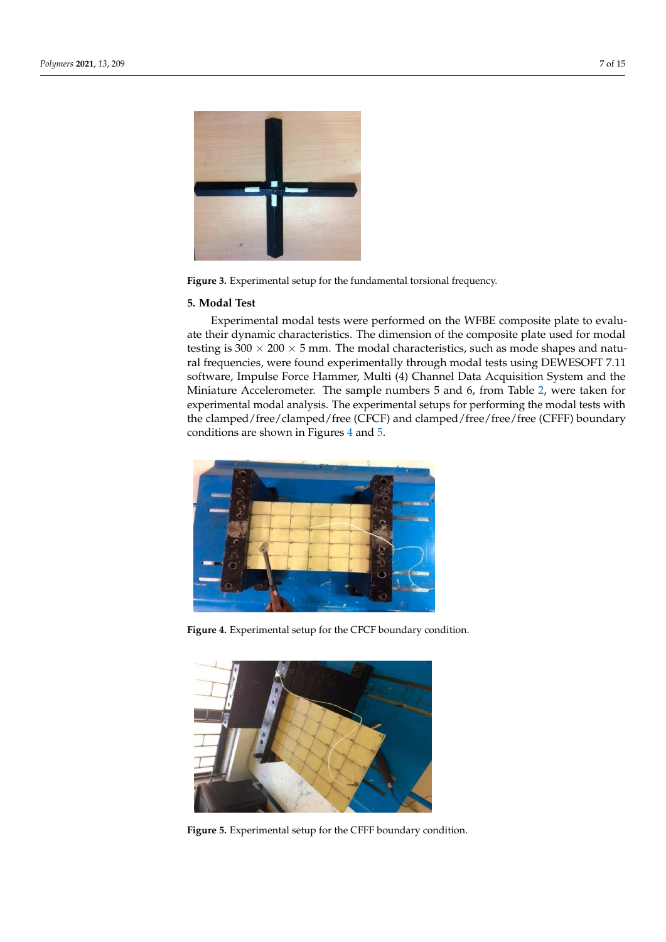

Figure 3. Experimental setup for the fundamental torsional frequency.

#### **5. Modal Test**

Experimental modal tests were performed on the WFBE composite plate to evaluate their dynamic characteristics. The dimension of the composite plate used for modal testing is  $300 \times 200 \times 5$  mm. The modal characteristics, such as mode shapes and natural frequencies, were found experimentally through modal tests using DEWESOFT 7.11 software, Impulse Force Hammer, Multi (4) Channel Data Acquisition System and the Miniature Accelerometer. The sample numbers 5 and 6, from Table 2, were taken for experimental modal analysis. The experimental setups for performing the modal tests with the clamped/free/clamped/free (CFCF) and clamped/free/free/free (CFFF) boundary conditions are shown in Figures 4 and 5.



**Figure 4.** Experimental setup for the CFCF boundary condition.



**Figure 5.** Experimental setup for the CFFF boundary condition.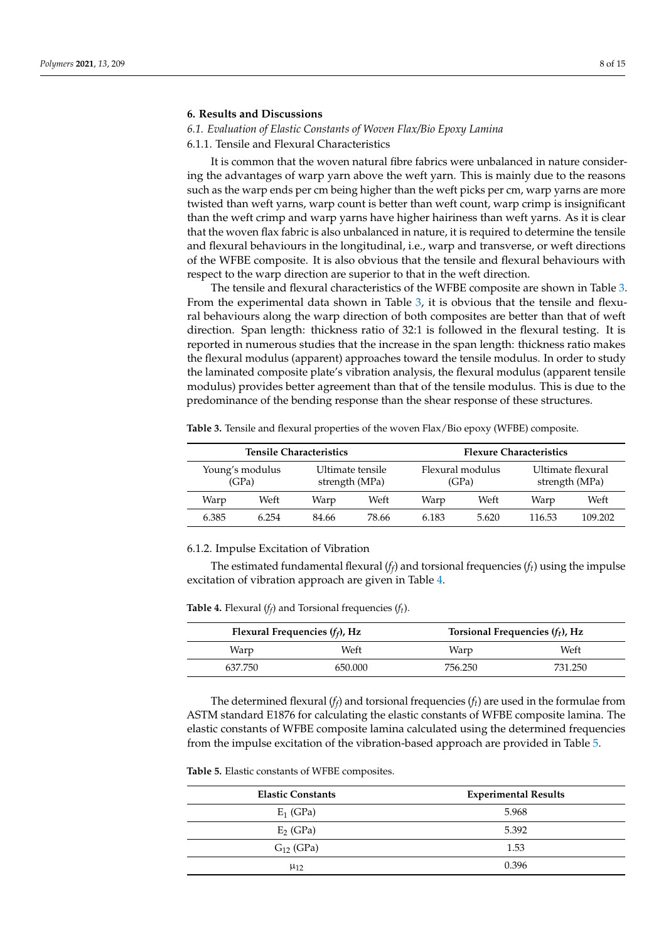#### **6. Results and Discussions**

## *6.1. Evaluation of Elastic Constants of Woven Flax/Bio Epoxy Lamina*

6.1.1. Tensile and Flexural Characteristics

It is common that the woven natural fibre fabrics were unbalanced in nature considering the advantages of warp yarn above the weft yarn. This is mainly due to the reasons such as the warp ends per cm being higher than the weft picks per cm, warp yarns are more twisted than weft yarns, warp count is better than weft count, warp crimp is insignificant than the weft crimp and warp yarns have higher hairiness than weft yarns. As it is clear that the woven flax fabric is also unbalanced in nature, it is required to determine the tensile and flexural behaviours in the longitudinal, i.e., warp and transverse, or weft directions of the WFBE composite. It is also obvious that the tensile and flexural behaviours with respect to the warp direction are superior to that in the weft direction.

The tensile and flexural characteristics of the WFBE composite are shown in Table 3. From the experimental data shown in Table 3, it is obvious that the tensile and flexural behaviours along the warp direction of both composites are better than that of weft direction. Span length: thickness ratio of 32:1 is followed in the flexural testing. It is reported in numerous studies that the increase in the span length: thickness ratio makes the flexural modulus (apparent) approaches toward the tensile modulus. In order to study the laminated composite plate's vibration analysis, the flexural modulus (apparent tensile modulus) provides better agreement than that of the tensile modulus. This is due to the predominance of the bending response than the shear response of these structures.

|       |                                                                | <b>Tensile Characteristics</b> |                           | <b>Flexure Characteristics</b> |                                     |        |         |
|-------|----------------------------------------------------------------|--------------------------------|---------------------------|--------------------------------|-------------------------------------|--------|---------|
|       | Young's modulus<br>Ultimate tensile<br>strength (MPa)<br>(GPa) |                                | Flexural modulus<br>(GPa) |                                | Ultimate flexural<br>strength (MPa) |        |         |
| Warp  | Weft                                                           | Warp                           | Weft                      | Warp                           | Weft                                | Warp   | Weft    |
| 6.385 | 6.254                                                          | 84.66                          | 78.66                     | 6.183                          | 5.620                               | 116.53 | 109.202 |

**Table 3.** Tensile and flexural properties of the woven Flax/Bio epoxy (WFBE) composite.

6.1.2. Impulse Excitation of Vibration

The estimated fundamental flexural ( $f_f$ ) and torsional frequencies ( $f_t$ ) using the impulse excitation of vibration approach are given in Table 4.

**Table 4.** Flexural (*f f* ) and Torsional frequencies (*ft*).

| Flexural Frequencies $(f_f)$ , Hz |         |         | Torsional Frequencies $(f_t)$ , Hz |  |  |
|-----------------------------------|---------|---------|------------------------------------|--|--|
| Warp                              | Weft    | Warp    | Weft                               |  |  |
| 637.750                           | 650.000 | 756.250 | 731.250                            |  |  |

The determined flexural ( $f_f$ ) and torsional frequencies ( $f_t$ ) are used in the formulae from ASTM standard E1876 for calculating the elastic constants of WFBE composite lamina. The elastic constants of WFBE composite lamina calculated using the determined frequencies from the impulse excitation of the vibration-based approach are provided in Table 5.

**Table 5.** Elastic constants of WFBE composites.

| <b>Elastic Constants</b> | <b>Experimental Results</b> |
|--------------------------|-----------------------------|
| $E_1$ (GPa)              | 5.968                       |
| $E2$ (GPa)               | 5.392                       |
| $G_{12}$ (GPa)           | 1.53                        |
| $\mu_{12}$               | 0.396                       |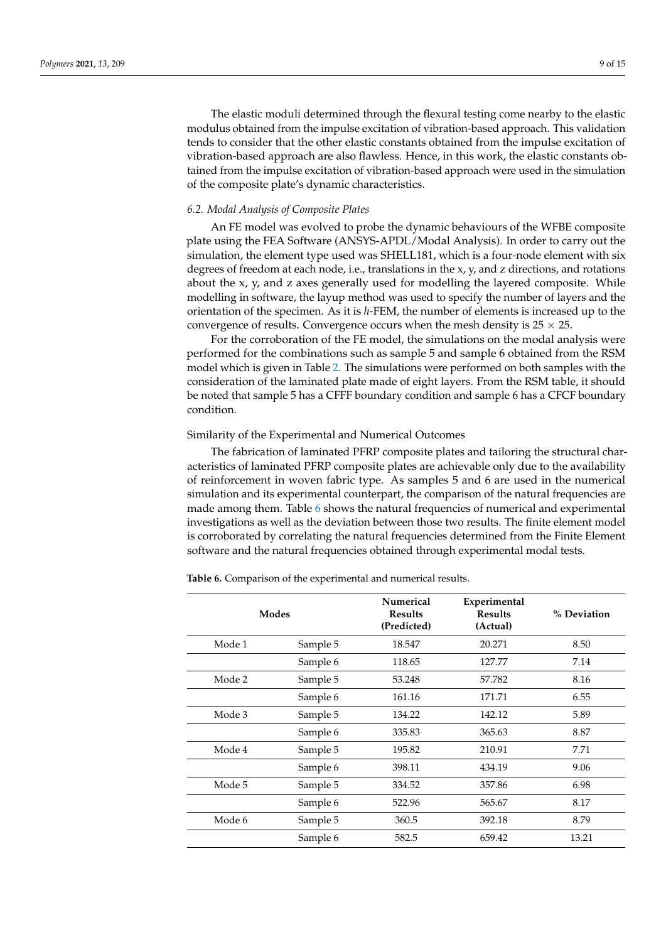The elastic moduli determined through the flexural testing come nearby to the elastic modulus obtained from the impulse excitation of vibration-based approach. This validation tends to consider that the other elastic constants obtained from the impulse excitation of vibration-based approach are also flawless. Hence, in this work, the elastic constants obtained from the impulse excitation of vibration-based approach were used in the simulation of the composite plate's dynamic characteristics.

#### *6.2. Modal Analysis of Composite Plates*

An FE model was evolved to probe the dynamic behaviours of the WFBE composite plate using the FEA Software (ANSYS-APDL/Modal Analysis). In order to carry out the simulation, the element type used was SHELL181, which is a four-node element with six degrees of freedom at each node, i.e., translations in the x, y, and z directions, and rotations about the x, y, and z axes generally used for modelling the layered composite. While modelling in software, the layup method was used to specify the number of layers and the orientation of the specimen. As it is *h*-FEM, the number of elements is increased up to the convergence of results. Convergence occurs when the mesh density is  $25 \times 25$ .

For the corroboration of the FE model, the simulations on the modal analysis were performed for the combinations such as sample 5 and sample 6 obtained from the RSM model which is given in Table 2. The simulations were performed on both samples with the consideration of the laminated plate made of eight layers. From the RSM table, it should be noted that sample 5 has a CFFF boundary condition and sample 6 has a CFCF boundary condition.

#### Similarity of the Experimental and Numerical Outcomes

The fabrication of laminated PFRP composite plates and tailoring the structural characteristics of laminated PFRP composite plates are achievable only due to the availability of reinforcement in woven fabric type. As samples 5 and 6 are used in the numerical simulation and its experimental counterpart, the comparison of the natural frequencies are made among them. Table 6 shows the natural frequencies of numerical and experimental investigations as well as the deviation between those two results. The finite element model is corroborated by correlating the natural frequencies determined from the Finite Element software and the natural frequencies obtained through experimental modal tests.

**Table 6.** Comparison of the experimental and numerical results.

|        | Modes    | Numerical<br><b>Results</b><br>(Predicted) | Experimental<br><b>Results</b><br>(Actual) | % Deviation |
|--------|----------|--------------------------------------------|--------------------------------------------|-------------|
| Mode 1 | Sample 5 | 18.547                                     | 20.271                                     | 8.50        |
|        | Sample 6 | 118.65                                     | 127.77                                     | 7.14        |
| Mode 2 | Sample 5 | 53.248                                     | 57.782                                     | 8.16        |
|        | Sample 6 | 161.16                                     | 171.71                                     | 6.55        |
| Mode 3 | Sample 5 | 134.22                                     | 142.12                                     | 5.89        |
|        | Sample 6 | 335.83                                     | 365.63                                     | 8.87        |
| Mode 4 | Sample 5 | 195.82                                     | 210.91                                     | 7.71        |
|        | Sample 6 | 398.11                                     | 434.19                                     | 9.06        |
| Mode 5 | Sample 5 | 334.52                                     | 357.86                                     | 6.98        |
|        | Sample 6 | 522.96                                     | 565.67                                     | 8.17        |
| Mode 6 | Sample 5 | 360.5                                      | 392.18                                     | 8.79        |
|        | Sample 6 | 582.5                                      | 659.42                                     | 13.21       |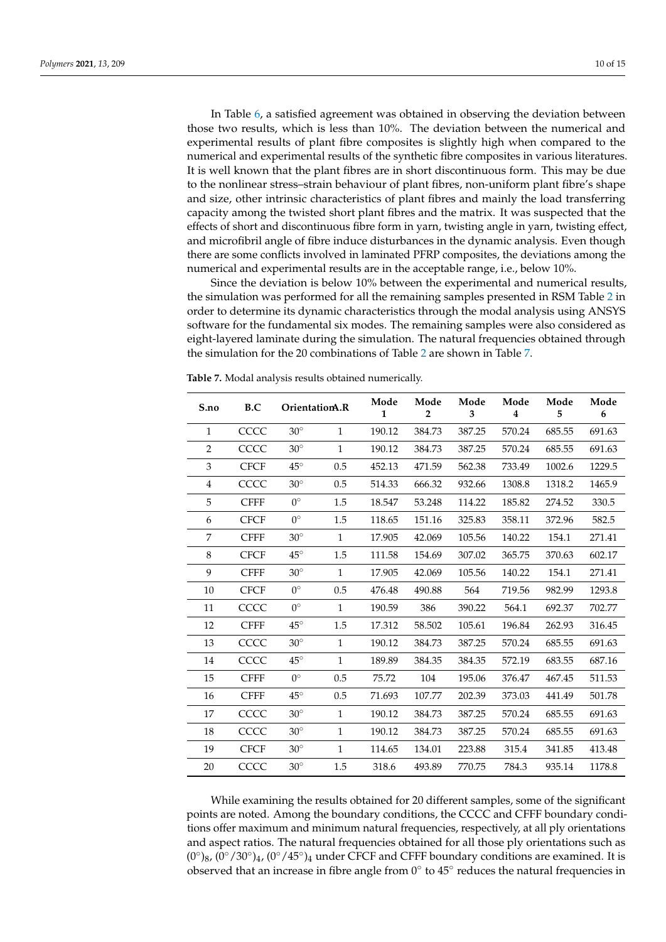In Table 6, a satisfied agreement was obtained in observing the deviation between those two results, which is less than 10%. The deviation between the numerical and experimental results of plant fibre composites is slightly high when compared to the numerical and experimental results of the synthetic fibre composites in various literatures. It is well known that the plant fibres are in short discontinuous form. This may be due to the nonlinear stress–strain behaviour of plant fibres, non-uniform plant fibre's shape and size, other intrinsic characteristics of plant fibres and mainly the load transferring capacity among the twisted short plant fibres and the matrix. It was suspected that the effects of short and discontinuous fibre form in yarn, twisting angle in yarn, twisting effect, and microfibril angle of fibre induce disturbances in the dynamic analysis. Even though there are some conflicts involved in laminated PFRP composites, the deviations among the numerical and experimental results are in the acceptable range, i.e., below 10%.

Since the deviation is below 10% between the experimental and numerical results, the simulation was performed for all the remaining samples presented in RSM Table 2 in order to determine its dynamic characteristics through the modal analysis using ANSYS software for the fundamental six modes. The remaining samples were also considered as eight-layered laminate during the simulation. The natural frequencies obtained through the simulation for the 20 combinations of Table 2 are shown in Table 7.

| S.no         | B.C         |              | OrientationA.R | Mode<br>$\mathbf{1}$ | Mode<br>$\overline{2}$ | Mode<br>3 | Mode<br>4 | Mode<br>5 | Mode<br>6 |
|--------------|-------------|--------------|----------------|----------------------|------------------------|-----------|-----------|-----------|-----------|
| $\mathbf{1}$ | CCCC        | $30^\circ$   | $\mathbf{1}$   | 190.12               | 384.73                 | 387.25    | 570.24    | 685.55    | 691.63    |
| 2            | CCCC        | $30^\circ$   | $\mathbf{1}$   | 190.12               | 384.73                 | 387.25    | 570.24    | 685.55    | 691.63    |
| 3            | <b>CFCF</b> | $45^\circ$   | 0.5            | 452.13               | 471.59                 | 562.38    | 733.49    | 1002.6    | 1229.5    |
| 4            | CCCC        | $30^\circ$   | 0.5            | 514.33               | 666.32                 | 932.66    | 1308.8    | 1318.2    | 1465.9    |
| 5            | <b>CFFF</b> | $0^{\circ}$  | 1.5            | 18.547               | 53.248                 | 114.22    | 185.82    | 274.52    | 330.5     |
| 6            | <b>CFCF</b> | $0^{\circ}$  | 1.5            | 118.65               | 151.16                 | 325.83    | 358.11    | 372.96    | 582.5     |
| 7            | <b>CFFF</b> | $30^\circ$   | $\mathbf{1}$   | 17.905               | 42.069                 | 105.56    | 140.22    | 154.1     | 271.41    |
| 8            | <b>CFCF</b> | $45^{\circ}$ | 1.5            | 111.58               | 154.69                 | 307.02    | 365.75    | 370.63    | 602.17    |
| 9            | <b>CFFF</b> | $30^\circ$   | $\mathbf{1}$   | 17.905               | 42.069                 | 105.56    | 140.22    | 154.1     | 271.41    |
| 10           | <b>CFCF</b> | $0^{\circ}$  | 0.5            | 476.48               | 490.88                 | 564       | 719.56    | 982.99    | 1293.8    |
| 11           | CCCC        | $0^{\circ}$  | $\mathbf{1}$   | 190.59               | 386                    | 390.22    | 564.1     | 692.37    | 702.77    |
| 12           | <b>CFFF</b> | $45^\circ$   | 1.5            | 17.312               | 58.502                 | 105.61    | 196.84    | 262.93    | 316.45    |
| 13           | CCCC        | $30^\circ$   | $\mathbf{1}$   | 190.12               | 384.73                 | 387.25    | 570.24    | 685.55    | 691.63    |
| 14           | CCCC        | $45^{\circ}$ | $\mathbf{1}$   | 189.89               | 384.35                 | 384.35    | 572.19    | 683.55    | 687.16    |
| 15           | <b>CFFF</b> | $0^{\circ}$  | $0.5\,$        | 75.72                | 104                    | 195.06    | 376.47    | 467.45    | 511.53    |
| 16           | <b>CFFF</b> | $45^{\circ}$ | 0.5            | 71.693               | 107.77                 | 202.39    | 373.03    | 441.49    | 501.78    |
| 17           | CCCC        | $30^\circ$   | $\mathbf{1}$   | 190.12               | 384.73                 | 387.25    | 570.24    | 685.55    | 691.63    |
| 18           | CCCC        | $30^\circ$   | $\mathbf{1}$   | 190.12               | 384.73                 | 387.25    | 570.24    | 685.55    | 691.63    |
| 19           | <b>CFCF</b> | $30^\circ$   | $\mathbf{1}$   | 114.65               | 134.01                 | 223.88    | 315.4     | 341.85    | 413.48    |
| 20           | CCCC        | $30^\circ$   | 1.5            | 318.6                | 493.89                 | 770.75    | 784.3     | 935.14    | 1178.8    |

**Table 7.** Modal analysis results obtained numerically.

While examining the results obtained for 20 different samples, some of the significant points are noted. Among the boundary conditions, the CCCC and CFFF boundary conditions offer maximum and minimum natural frequencies, respectively, at all ply orientations and aspect ratios. The natural frequencies obtained for all those ply orientations such as  $(0°)_{8}$ ,  $(0°/30°)_{4}$ ,  $(0°/45°)_{4}$  under CFCF and CFFF boundary conditions are examined. It is observed that an increase in fibre angle from  $0^\circ$  to  $45^\circ$  reduces the natural frequencies in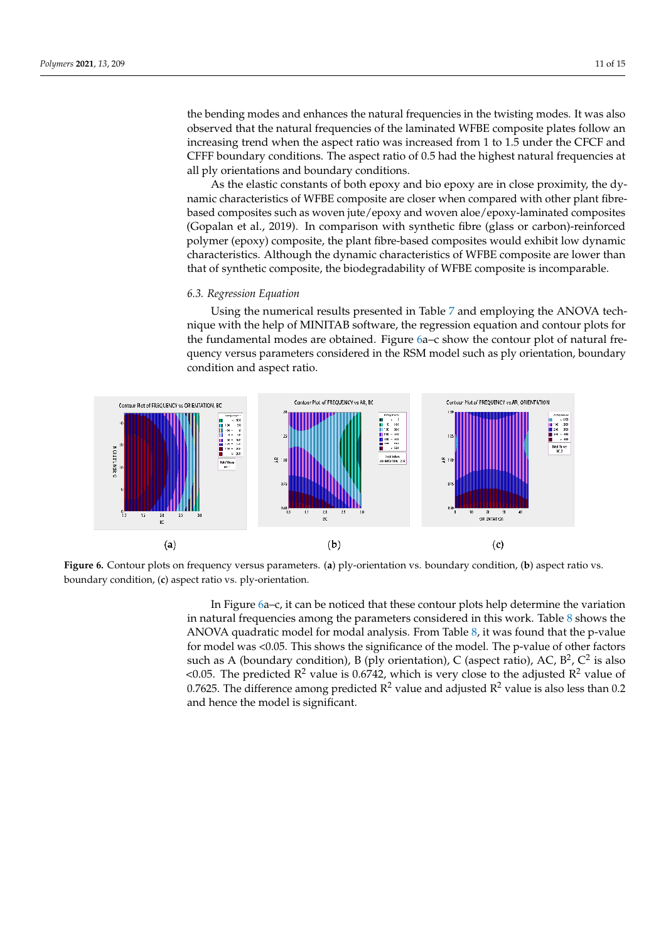the bending modes and enhances the natural frequencies in the twisting modes. It was also observed that the natural frequencies of the laminated WFBE composite plates follow an increasing trend when the aspect ratio was increased from 1 to 1.5 under the CFCF and CFFF boundary conditions. The aspect ratio of 0.5 had the highest natural frequencies at all ply orientations and boundary conditions.

As the elastic constants of both epoxy and bio epoxy are in close proximity, the dynamic characteristics of WFBE composite are closer when compared with other plant fibrebased composites such as woven jute/epoxy and woven aloe/epoxy-laminated composites (Gopalan et al., 2019). In comparison with synthetic fibre (glass or carbon)-reinforced polymer (epoxy) composite, the plant fibre-based composites would exhibit low dynamic characteristics. Although the dynamic characteristics of WFBE composite are lower than that of synthetic composite, the biodegradability of WFBE composite is incomparable.

#### *6.3. Regression Equation*

Using the numerical results presented in Table 7 and employing the ANOVA technique with the help of MINITAB software, the regression equation and contour plots for the fundamental modes are obtained. Figure 6a–c show the contour plot of natural frequency versus parameters considered in the RSM model such as ply orientation, boundary condition and aspect ratio.



**Figure 6.** Contour plots on frequency versus parameters. (**a**) ply-orientation vs. boundary condition, (**b**) aspect ratio vs. boundary condition, (**c**) aspect ratio vs. ply-orientation.

In Figure 6a–c, it can be noticed that these contour plots help determine the variation in natural frequencies among the parameters considered in this work. Table 8 shows the ANOVA quadratic model for modal analysis. From Table 8, it was found that the p-value for model was <0.05. This shows the significance of the model. The p-value of other factors such as A (boundary condition), B (ply orientation), C (aspect ratio), AC,  $B^2$ ,  $C^2$  is also <0.05. The predicted  $R^2$  value is 0.6742, which is very close to the adjusted  $R^2$  value of 0.7625. The difference among predicted  $R^2$  value and adjusted  $R^2$  value is also less than 0.2 and hence the model is significant.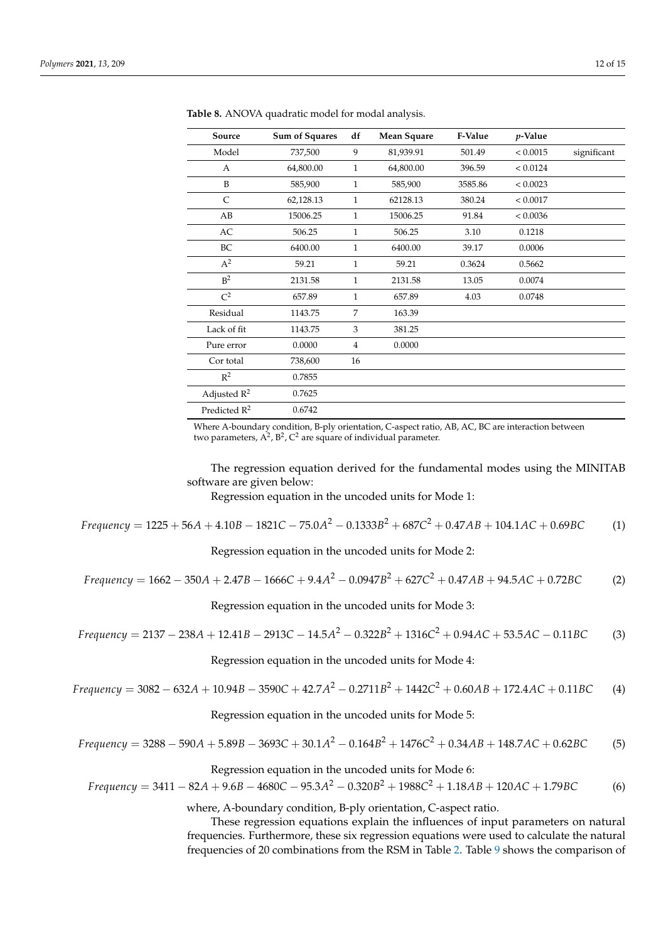| Source                   | Sum of Squares | df             | <b>Mean Square</b> | F-Value | $p$ -Value |             |
|--------------------------|----------------|----------------|--------------------|---------|------------|-------------|
| Model                    | 737,500        | 9              | 81,939.91          | 501.49  | < 0.0015   | significant |
| А                        | 64,800.00      | $\mathbf{1}$   | 64,800.00          | 396.59  | < 0.0124   |             |
| B                        | 585,900        | $\mathbf{1}$   | 585,900            | 3585.86 | < 0.0023   |             |
| C                        | 62,128.13      | 1              | 62128.13           | 380.24  | < 0.0017   |             |
| AB                       | 15006.25       | $\mathbf{1}$   | 15006.25           | 91.84   | < 0.0036   |             |
| AC                       | 506.25         | $\mathbf{1}$   | 506.25             | 3.10    | 0.1218     |             |
| BC                       | 6400.00        | $\mathbf{1}$   | 6400.00            | 39.17   | 0.0006     |             |
| $A^2$                    | 59.21          | $\mathbf{1}$   | 59.21              | 0.3624  | 0.5662     |             |
| B <sup>2</sup>           | 2131.58        | $\mathbf{1}$   | 2131.58            | 13.05   | 0.0074     |             |
| $C^2$                    | 657.89         | $\mathbf{1}$   | 657.89             | 4.03    | 0.0748     |             |
| Residual                 | 1143.75        | 7              | 163.39             |         |            |             |
| Lack of fit              | 1143.75        | 3              | 381.25             |         |            |             |
| Pure error               | 0.0000         | $\overline{4}$ | 0.0000             |         |            |             |
| Cor total                | 738,600        | 16             |                    |         |            |             |
| $\mathbb{R}^2$           | 0.7855         |                |                    |         |            |             |
| Adjusted $R^2$           | 0.7625         |                |                    |         |            |             |
| Predicted R <sup>2</sup> | 0.6742         |                |                    |         |            |             |

**Table 8.** ANOVA quadratic model for modal analysis.

Where A-boundary condition, B-ply orientation, C-aspect ratio, AB, AC, BC are interaction between two parameters,  $A^2$ ,  $B^2$ ,  $C^2$  are square of individual parameter.

The regression equation derived for the fundamental modes using the MINITAB software are given below:

Regression equation in the uncoded units for Mode 1:

*Frequency* = 1225 + 56*A* + 4.10*B* − 1821*C* − 75.0*A* <sup>2</sup> − 0.1333*B* <sup>2</sup> + 687*C* <sup>2</sup> + 0.47*AB* + 104.1*AC* + 0.69*BC* (1)

Regression equation in the uncoded units for Mode 2:

Frequency = 
$$
1662 - 350A + 2.47B - 1666C + 9.4A^2 - 0.0947B^2 + 627C^2 + 0.47AB + 94.5AC + 0.72BC
$$
 (2)

Regression equation in the uncoded units for Mode 3:

Frequency = 
$$
2137 - 238A + 12.41B - 2913C - 14.5A^2 - 0.322B^2 + 1316C^2 + 0.94AC + 53.5AC - 0.11BC
$$
 (3)

Regression equation in the uncoded units for Mode 4:

Frequency = 
$$
3082 - 632A + 10.94B - 3590C + 42.7A^2 - 0.2711B^2 + 1442C^2 + 0.60AB + 172.4AC + 0.11BC
$$
 (4)

Regression equation in the uncoded units for Mode 5:

Frequency = 
$$
3288 - 590A + 5.89B - 3693C + 30.1A^2 - 0.164B^2 + 1476C^2 + 0.34AB + 148.7AC + 0.62BC
$$
 (5)

Regression equation in the uncoded units for Mode 6:

Frequency = 
$$
3411 - 82A + 9.6B - 4680C - 95.3A^2 - 0.320B^2 + 1988C^2 + 1.18AB + 120AC + 1.79BC
$$
 (6)

where, A-boundary condition, B-ply orientation, C-aspect ratio.

These regression equations explain the influences of input parameters on natural frequencies. Furthermore, these six regression equations were used to calculate the natural frequencies of 20 combinations from the RSM in Table 2. Table 9 shows the comparison of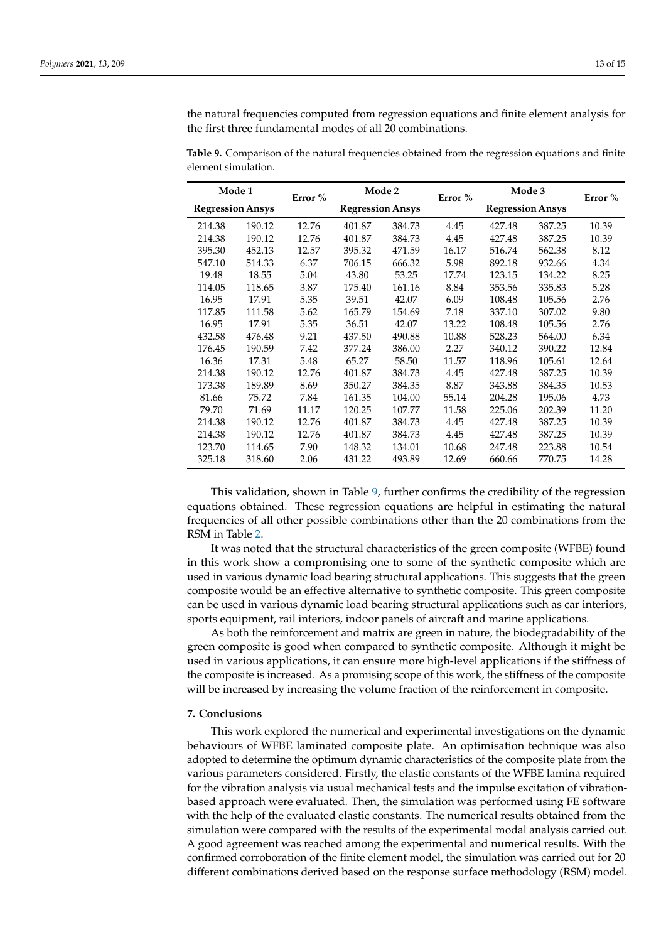the natural frequencies computed from regression equations and finite element analysis for the first three fundamental modes of all 20 combinations.

| Mode 1                  |        | Error % | Mode 2                  |        | Error % | Mode 3                  |        | Error % |
|-------------------------|--------|---------|-------------------------|--------|---------|-------------------------|--------|---------|
| <b>Regression Ansys</b> |        |         | <b>Regression Ansys</b> |        |         | <b>Regression Ansys</b> |        |         |
| 214.38                  | 190.12 | 12.76   | 401.87                  | 384.73 | 4.45    | 427.48                  | 387.25 | 10.39   |
| 214.38                  | 190.12 | 12.76   | 401.87                  | 384.73 | 4.45    | 427.48                  | 387.25 | 10.39   |
| 395.30                  | 452.13 | 12.57   | 395.32                  | 471.59 | 16.17   | 516.74                  | 562.38 | 8.12    |
| 547.10                  | 514.33 | 6.37    | 706.15                  | 666.32 | 5.98    | 892.18                  | 932.66 | 4.34    |
| 19.48                   | 18.55  | 5.04    | 43.80                   | 53.25  | 17.74   | 123.15                  | 134.22 | 8.25    |
| 114.05                  | 118.65 | 3.87    | 175.40                  | 161.16 | 8.84    | 353.56                  | 335.83 | 5.28    |
| 16.95                   | 17.91  | 5.35    | 39.51                   | 42.07  | 6.09    | 108.48                  | 105.56 | 2.76    |
| 117.85                  | 111.58 | 5.62    | 165.79                  | 154.69 | 7.18    | 337.10                  | 307.02 | 9.80    |
| 16.95                   | 17.91  | 5.35    | 36.51                   | 42.07  | 13.22   | 108.48                  | 105.56 | 2.76    |
| 432.58                  | 476.48 | 9.21    | 437.50                  | 490.88 | 10.88   | 528.23                  | 564.00 | 6.34    |
| 176.45                  | 190.59 | 7.42    | 377.24                  | 386.00 | 2.27    | 340.12                  | 390.22 | 12.84   |
| 16.36                   | 17.31  | 5.48    | 65.27                   | 58.50  | 11.57   | 118.96                  | 105.61 | 12.64   |
| 214.38                  | 190.12 | 12.76   | 401.87                  | 384.73 | 4.45    | 427.48                  | 387.25 | 10.39   |
| 173.38                  | 189.89 | 8.69    | 350.27                  | 384.35 | 8.87    | 343.88                  | 384.35 | 10.53   |
| 81.66                   | 75.72  | 7.84    | 161.35                  | 104.00 | 55.14   | 204.28                  | 195.06 | 4.73    |
| 79.70                   | 71.69  | 11.17   | 120.25                  | 107.77 | 11.58   | 225.06                  | 202.39 | 11.20   |
| 214.38                  | 190.12 | 12.76   | 401.87                  | 384.73 | 4.45    | 427.48                  | 387.25 | 10.39   |
| 214.38                  | 190.12 | 12.76   | 401.87                  | 384.73 | 4.45    | 427.48                  | 387.25 | 10.39   |
| 123.70                  | 114.65 | 7.90    | 148.32                  | 134.01 | 10.68   | 247.48                  | 223.88 | 10.54   |
| 325.18                  | 318.60 | 2.06    | 431.22                  | 493.89 | 12.69   | 660.66                  | 770.75 | 14.28   |

**Table 9.** Comparison of the natural frequencies obtained from the regression equations and finite element simulation.

This validation, shown in Table 9, further confirms the credibility of the regression equations obtained. These regression equations are helpful in estimating the natural frequencies of all other possible combinations other than the 20 combinations from the RSM in Table 2.

It was noted that the structural characteristics of the green composite (WFBE) found in this work show a compromising one to some of the synthetic composite which are used in various dynamic load bearing structural applications. This suggests that the green composite would be an effective alternative to synthetic composite. This green composite can be used in various dynamic load bearing structural applications such as car interiors, sports equipment, rail interiors, indoor panels of aircraft and marine applications.

As both the reinforcement and matrix are green in nature, the biodegradability of the green composite is good when compared to synthetic composite. Although it might be used in various applications, it can ensure more high-level applications if the stiffness of the composite is increased. As a promising scope of this work, the stiffness of the composite will be increased by increasing the volume fraction of the reinforcement in composite.

#### **7. Conclusions**

This work explored the numerical and experimental investigations on the dynamic behaviours of WFBE laminated composite plate. An optimisation technique was also adopted to determine the optimum dynamic characteristics of the composite plate from the various parameters considered. Firstly, the elastic constants of the WFBE lamina required for the vibration analysis via usual mechanical tests and the impulse excitation of vibrationbased approach were evaluated. Then, the simulation was performed using FE software with the help of the evaluated elastic constants. The numerical results obtained from the simulation were compared with the results of the experimental modal analysis carried out. A good agreement was reached among the experimental and numerical results. With the confirmed corroboration of the finite element model, the simulation was carried out for 20 different combinations derived based on the response surface methodology (RSM) model.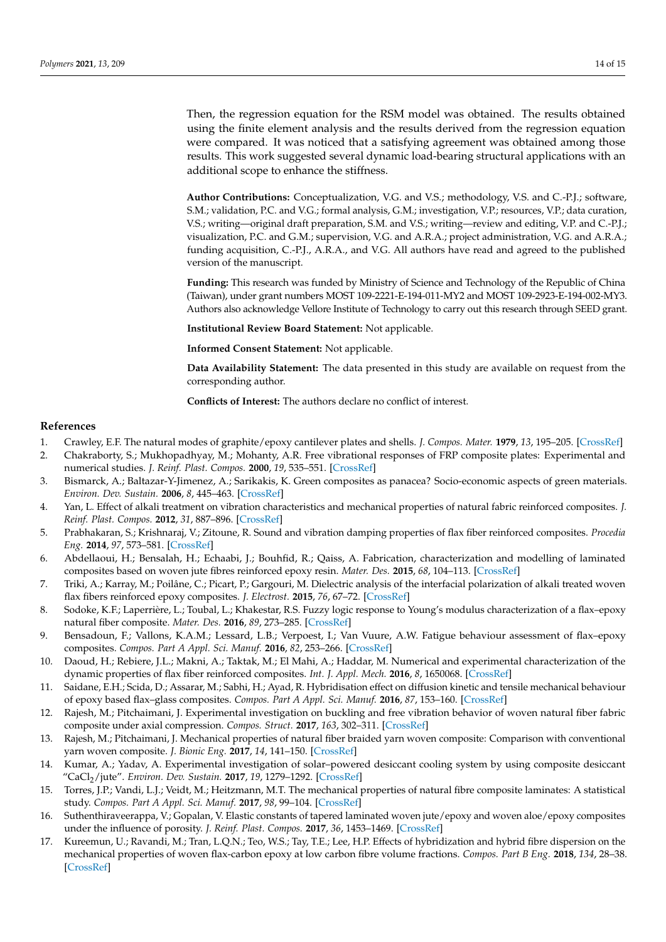Then, the regression equation for the RSM model was obtained. The results obtained using the finite element analysis and the results derived from the regression equation were compared. It was noticed that a satisfying agreement was obtained among those results. This work suggested several dynamic load-bearing structural applications with an additional scope to enhance the stiffness.

**Author Contributions:** Conceptualization, V.G. and V.S.; methodology, V.S. and C.-P.J.; software, S.M.; validation, P.C. and V.G.; formal analysis, G.M.; investigation, V.P.; resources, V.P.; data curation, V.S.; writing—original draft preparation, S.M. and V.S.; writing—review and editing, V.P. and C.-P.J.; visualization, P.C. and G.M.; supervision, V.G. and A.R.A.; project administration, V.G. and A.R.A.; funding acquisition, C.-P.J., A.R.A., and V.G. All authors have read and agreed to the published version of the manuscript.

**Funding:** This research was funded by Ministry of Science and Technology of the Republic of China (Taiwan), under grant numbers MOST 109-2221-E-194-011-MY2 and MOST 109-2923-E-194-002-MY3. Authors also acknowledge Vellore Institute of Technology to carry out this research through SEED grant.

**Institutional Review Board Statement:** Not applicable.

**Informed Consent Statement:** Not applicable.

**Data Availability Statement:** The data presented in this study are available on request from the corresponding author.

**Conflicts of Interest:** The authors declare no conflict of interest.

#### **References**

- 1. Crawley, E.F. The natural modes of graphite/epoxy cantilever plates and shells. *J. Compos. Mater.* **1979**, *13*, 195–205. [CrossRef]
- 2. Chakraborty, S.; Mukhopadhyay, M.; Mohanty, A.R. Free vibrational responses of FRP composite plates: Experimental and numerical studies. *J. Reinf. Plast. Compos.* **2000**, *19*, 535–551. [CrossRef]
- 3. Bismarck, A.; Baltazar-Y-Jimenez, A.; Sarikakis, K. Green composites as panacea? Socio-economic aspects of green materials. *Environ. Dev. Sustain.* **2006**, *8*, 445–463. [CrossRef]
- 4. Yan, L. Effect of alkali treatment on vibration characteristics and mechanical properties of natural fabric reinforced composites. *J. Reinf. Plast. Compos.* **2012**, *31*, 887–896. [CrossRef]
- 5. Prabhakaran, S.; Krishnaraj, V.; Zitoune, R. Sound and vibration damping properties of flax fiber reinforced composites. *Procedia Eng.* **2014**, *97*, 573–581. [CrossRef]
- 6. Abdellaoui, H.; Bensalah, H.; Echaabi, J.; Bouhfid, R.; Qaiss, A. Fabrication, characterization and modelling of laminated composites based on woven jute fibres reinforced epoxy resin. *Mater. Des.* **2015**, *68*, 104–113. [CrossRef]
- 7. Triki, A.; Karray, M.; Poilâne, C.; Picart, P.; Gargouri, M. Dielectric analysis of the interfacial polarization of alkali treated woven flax fibers reinforced epoxy composites. *J. Electrost.* **2015**, *76*, 67–72. [CrossRef]
- 8. Sodoke, K.F.; Laperrière, L.; Toubal, L.; Khakestar, R.S. Fuzzy logic response to Young's modulus characterization of a flax–epoxy natural fiber composite. *Mater. Des.* **2016**, *89*, 273–285. [CrossRef]
- 9. Bensadoun, F.; Vallons, K.A.M.; Lessard, L.B.; Verpoest, I.; Van Vuure, A.W. Fatigue behaviour assessment of flax–epoxy composites. *Compos. Part A Appl. Sci. Manuf.* **2016**, *82*, 253–266. [CrossRef]
- 10. Daoud, H.; Rebiere, J.L.; Makni, A.; Taktak, M.; El Mahi, A.; Haddar, M. Numerical and experimental characterization of the dynamic properties of flax fiber reinforced composites. *Int. J. Appl. Mech.* **2016**, *8*, 1650068. [CrossRef]
- 11. Saidane, E.H.; Scida, D.; Assarar, M.; Sabhi, H.; Ayad, R. Hybridisation effect on diffusion kinetic and tensile mechanical behaviour of epoxy based flax–glass composites. *Compos. Part A Appl. Sci. Manuf.* **2016**, *87*, 153–160. [CrossRef]
- 12. Rajesh, M.; Pitchaimani, J. Experimental investigation on buckling and free vibration behavior of woven natural fiber fabric composite under axial compression. *Compos. Struct.* **2017**, *163*, 302–311. [CrossRef]
- 13. Rajesh, M.; Pitchaimani, J. Mechanical properties of natural fiber braided yarn woven composite: Comparison with conventional yarn woven composite. *J. Bionic Eng.* **2017**, *14*, 141–150. [CrossRef]
- 14. Kumar, A.; Yadav, A. Experimental investigation of solar–powered desiccant cooling system by using composite desiccant "CaCl2/jute". *Environ. Dev. Sustain.* **2017**, *19*, 1279–1292. [CrossRef]
- 15. Torres, J.P.; Vandi, L.J.; Veidt, M.; Heitzmann, M.T. The mechanical properties of natural fibre composite laminates: A statistical study. *Compos. Part A Appl. Sci. Manuf.* **2017**, *98*, 99–104. [CrossRef]
- 16. Suthenthiraveerappa, V.; Gopalan, V. Elastic constants of tapered laminated woven jute/epoxy and woven aloe/epoxy composites under the influence of porosity. *J. Reinf. Plast. Compos.* **2017**, *36*, 1453–1469. [CrossRef]
- 17. Kureemun, U.; Ravandi, M.; Tran, L.Q.N.; Teo, W.S.; Tay, T.E.; Lee, H.P. Effects of hybridization and hybrid fibre dispersion on the mechanical properties of woven flax-carbon epoxy at low carbon fibre volume fractions. *Compos. Part B Eng.* **2018**, *134*, 28–38. [CrossRef]